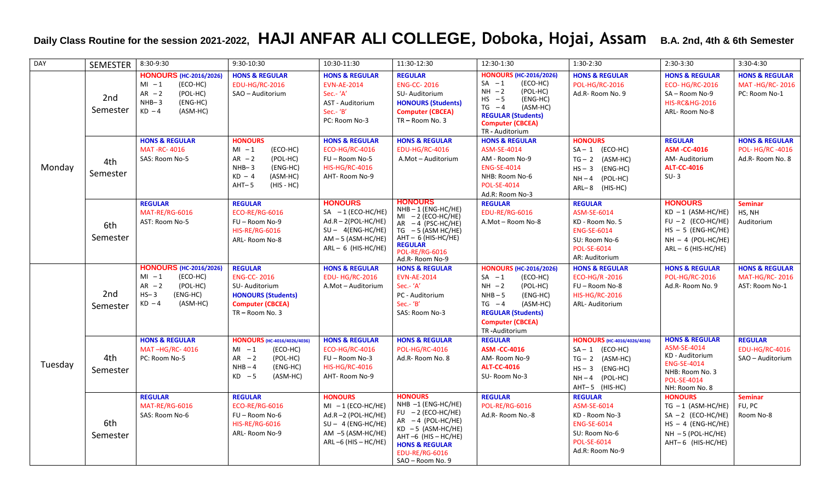## **Daily Class Routine for the session 2021-2022, HAJI ANFAR ALI COLLEGE, Doboka, Hojai, Assam B.A. 2nd, 4th & 6th Semester**

| DAY     | <b>SEMESTER</b> | 8:30-9:30                                                                                                                    | 9:30-10:30                                                                                                                               | 10:30-11:30                                                                                                                             | 11:30-12:30                                                                                                                                                                                                        | 12:30-1:30                                                                                                                                                                                            | 1:30-2:30                                                                                                                          | 2:30-3:30                                                                                                                                    | 3:30-4:30                                                             |
|---------|-----------------|------------------------------------------------------------------------------------------------------------------------------|------------------------------------------------------------------------------------------------------------------------------------------|-----------------------------------------------------------------------------------------------------------------------------------------|--------------------------------------------------------------------------------------------------------------------------------------------------------------------------------------------------------------------|-------------------------------------------------------------------------------------------------------------------------------------------------------------------------------------------------------|------------------------------------------------------------------------------------------------------------------------------------|----------------------------------------------------------------------------------------------------------------------------------------------|-----------------------------------------------------------------------|
| Monday  | 2nd<br>Semester | <b>HONOURS</b> (HC-2016/2026)<br>$MI - 1$<br>(ECO-HC)<br>$AR - 2$<br>(POL-HC)<br>$NHB-3$<br>(ENG-HC)<br>$KD - 4$<br>(ASM-HC) | <b>HONS &amp; REGULAR</b><br><b>EDU-HG/RC-2016</b><br>SAO - Auditorium                                                                   | <b>HONS &amp; REGULAR</b><br><b>EVN-AE-2014</b><br>Sec.- 'A'<br>AST - Auditorium<br>Sec.- 'B'<br>PC: Room No-3                          | <b>REGULAR</b><br><b>ENG-CC-2016</b><br>SU-Auditorium<br><b>HONOURS (Students)</b><br><b>Computer (CBCEA)</b><br>TR-Room No. 3                                                                                     | <b>HONOURS (HC-2016/2026)</b><br>$SA -1$<br>(ECO-HC)<br>$NH -2$<br>(POL-HC)<br>$HS - 5$<br>(ENG-HC)<br>$TG -4$<br>(ASM-HC)<br><b>REGULAR (Students)</b><br><b>Computer (CBCEA)</b><br>TR - Auditorium | <b>HONS &amp; REGULAR</b><br><b>POL-HG/RC-2016</b><br>Ad.R-Room No. 9                                                              | <b>HONS &amp; REGULAR</b><br><b>ECO-HG/RC-2016</b><br>SA-Room No-9<br><b>HIS-RC&amp;HG-2016</b><br>ARL-Room No-8                             | <b>HONS &amp; REGULAR</b><br><b>MAT-HG/RC-2016</b><br>PC: Room No-1   |
|         | 4th<br>Semester | <b>HONS &amp; REGULAR</b><br><b>MAT-RC-4016</b><br>SAS: Room No-5                                                            | <b>HONOURS</b><br>(ECO-HC)<br>$MI - 1$<br>$AR - 2$<br>(POL-HC)<br>$NHB-3$<br>(ENG-HC)<br>$KD - 4$<br>(ASM-HC)<br>$AHT-5$<br>$(HIS - HC)$ | <b>HONS &amp; REGULAR</b><br><b>ECO-HG/RC-4016</b><br>FU-Room No-5<br><b>HIS-HG/RC-4016</b><br>AHT-Room No-9                            | <b>HONS &amp; REGULAR</b><br>EDU-HG/RC-4016<br>A.Mot - Auditorium                                                                                                                                                  | <b>HONS &amp; REGULAR</b><br>ASM-SE-4014<br>AM - Room No-9<br><b>ENG-SE-4014</b><br>NHB: Room No-6<br><b>POL-SE-4014</b><br>Ad.R: Room No-3                                                           | <b>HONOURS</b><br>$SA - 1$ (ECO-HC)<br>$TG - 2$ (ASM-HC)<br>$HS - 3$ (ENG-HC)<br>$NH - 4$ (POL-HC)<br>$ARL-8$ (HIS-HC)             | <b>REGULAR</b><br><b>ASM -CC-4016</b><br>AM-Auditorium<br><b>ALT-CC-4016</b><br>$SU-3$                                                       | <b>HONS &amp; REGULAR</b><br><b>POL-HG/RC-4016</b><br>Ad.R-Room No. 8 |
|         | 6th<br>Semester | <b>REGULAR</b><br>MAT-RE/RG-6016<br>AST: Room No-5                                                                           | <b>REGULAR</b><br><b>ECO-RE/RG-6016</b><br>FU - Room No-9<br><b>HIS-RE/RG-6016</b><br>ARL-Room No-8                                      | <b>HONOURS</b><br>$SA - 1$ (ECO-HC/HE)<br>$Ad.R - 2(POL-HC/HE)$<br>$SU - 4(ENG-HC/HE)$<br>$AM - 5$ (ASM-HC/HE)<br>$ARL - 6$ (HIS-HC/HE) | <b>HONOURS</b><br>$NHB - 1$ (ENG-HC/HE)<br>$MI - 2$ (ECO-HC/HE)<br>$AR - 4$ (PSC-HC/HE)<br>$TG - 5$ (ASM HC/HE)<br>$AHT - 6$ (HIS-HC/HE)<br><b>REGULAR</b><br><b>POL-RE/RG-6016</b><br>Ad.R- Room No-9             | <b>REGULAR</b><br><b>EDU-RE/RG-6016</b><br>A.Mot-Room No-8                                                                                                                                            | <b>REGULAR</b><br>ASM-SE-6014<br>KD - Room No. 5<br><b>ENG-SE-6014</b><br>SU: Room No-6<br><b>POL-SE-6014</b><br>AR: Auditorium    | <b>HONOURS</b><br>$KD - 1$ (ASM-HC/HE)<br>$FU - 2$ (ECO-HC/HE)<br>$HS - 5$ (ENG-HC/HE)<br>$NH - 4$ (POL-HC/HE)<br>$ARL - 6$ (HIS-HC/HE)      | <b>Seminar</b><br>HS, NH<br>Auditorium                                |
| Tuesday | 2nd<br>Semester | <b>HONOURS (HC-2016/2026)</b><br>$MI - 1$<br>(ECO-HC)<br>$AR - 2$<br>(POL-HC)<br>$HS-3$<br>(ENG-HC)<br>$KD - 4$<br>(ASM-HC)  | <b>REGULAR</b><br><b>ENG-CC-2016</b><br>SU-Auditorium<br><b>HONOURS (Students)</b><br><b>Computer (CBCEA)</b><br>TR-Room No. 3           | <b>HONS &amp; REGULAR</b><br><b>EDU-HG/RC-2016</b><br>A.Mot - Auditorium                                                                | <b>HONS &amp; REGULAR</b><br><b>EVN-AE-2014</b><br>Sec.- 'A'<br>PC - Auditorium<br>Sec.- 'B'<br>SAS: Room No-3                                                                                                     | <b>HONOURS (HC-2016/2026)</b><br>(ECO-HC)<br>$SA -1$<br>$NH -2$<br>(POL-HC)<br>$NHB - 5$<br>(ENG-HC)<br>$TG -4$<br>(ASM-HC)<br><b>REGULAR (Students)</b><br><b>Computer (CBCEA)</b><br>TR-Auditorium  | <b>HONS &amp; REGULAR</b><br><b>ECO-HG/R-2016</b><br>FU-Room No-8<br><b>HIS-HG/RC-2016</b><br>ARL-Auditorium                       | <b>HONS &amp; REGULAR</b><br><b>POL-HG/RC-2016</b><br>Ad.R-Room No. 9                                                                        | <b>HONS &amp; REGULAR</b><br><b>MAT-HG/RC-2016</b><br>AST: Room No-1  |
|         | 4th<br>Semester | <b>HONS &amp; REGULAR</b><br>MAT-HG/RC-4016<br>PC: Room No-5                                                                 | HONOURS (HC-4016/4026/4036)<br>(ECO-HC)<br>$MI - 1$<br>$AR -2$<br>(POL-HC)<br>$NHB - 4$<br>(ENG-HC)<br>$KD - 5$<br>(ASM-HC)              | <b>HONS &amp; REGULAR</b><br><b>ECO-HG/RC-4016</b><br>FU-Room No-3<br><b>HIS-HG/RC-4016</b><br>AHT-Room No-9                            | <b>HONS &amp; REGULAR</b><br><b>POL-HG/RC-4016</b><br>Ad.R-Room No. 8                                                                                                                                              | <b>REGULAR</b><br><b>ASM -CC-4016</b><br>AM-Room No-9<br><b>ALT-CC-4016</b><br>SU-Room No-3                                                                                                           | HONOURS (HC-4016/4026/4036)<br>$SA - 1$ (ECO-HC)<br>$TG - 2$ (ASM-HC)<br>$HS - 3$<br>(ENG-HC)<br>$NH-4$ (POL-HC)<br>AHT-5 (HIS-HC) | <b>HONS &amp; REGULAR</b><br>ASM-SE-4014<br>KD - Auditorium<br><b>ENG-SE-4014</b><br>NHB: Room No. 3<br><b>POL-SE-4014</b><br>NH: Room No. 8 | <b>REGULAR</b><br><b>EDU-HG/RC-4016</b><br>SAO - Auditorium           |
|         | 6th<br>Semester | <b>REGULAR</b><br>MAT-RE/RG-6016<br>SAS: Room No-6                                                                           | <b>REGULAR</b><br><b>ECO-RE/RG-6016</b><br>FU-Room No-6<br><b>HIS-RE/RG-6016</b><br>ARL- Room No-9                                       | <b>HONOURS</b><br>$MI - 1$ (ECO-HC/HE)<br>Ad.R-2 (POL-HC/HE)<br>$SU - 4$ (ENG-HC/HE)<br>$AM -5$ (ASM-HC/HE)<br>ARL $-6$ (HIS $-$ HC/HE) | <b>HONOURS</b><br>$NHB -1$ (ENG-HC/HE)<br>$FU - 2 (ECO-HC/HE)$<br>$AR - 4 (POL-HC/HE)$<br>$KD - 5$ (ASM-HC/HE)<br>$AHT -6$ (HIS - HC/HE)<br><b>HONS &amp; REGULAR</b><br><b>EDU-RE/RG-6016</b><br>SAO - Room No. 9 | <b>REGULAR</b><br><b>POL-RE/RG-6016</b><br>Ad.R-Room No.-8                                                                                                                                            | <b>REGULAR</b><br>ASM-SE-6014<br>KD - Room No-3<br><b>ENG-SE-6014</b><br>SU: Room No-6<br><b>POL-SE-6014</b><br>Ad.R: Room No-9    | <b>HONOURS</b><br>$TG - 1$ (ASM-HC/HE)<br>$SA - 2$ (ECO-HC/HE)<br>$HS - 4$ (ENG-HC/HE)<br>$NH - 5 (POL-HC/HE)$<br>AHT-6 (HIS-HC/HE)          | <b>Seminar</b><br>FU, PC<br>Room No-8                                 |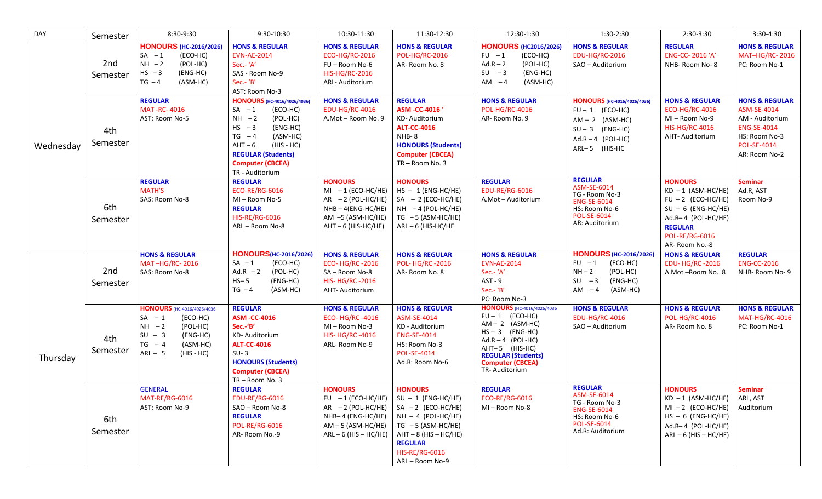| <b>DAY</b> | Semester        | 8:30-9:30                                                                                                                                              | 9:30-10:30                                                                                                                                                                                                                           | 10:30-11:30                                                                                                                            | 11:30-12:30                                                                                                                                                                                          | 12:30-1:30                                                                                                                                                                                                         | $1:30-2:30$                                                                                                                               | 2:30-3:30                                                                                                                                                                | 3:30-4:30                                                                                                                                 |
|------------|-----------------|--------------------------------------------------------------------------------------------------------------------------------------------------------|--------------------------------------------------------------------------------------------------------------------------------------------------------------------------------------------------------------------------------------|----------------------------------------------------------------------------------------------------------------------------------------|------------------------------------------------------------------------------------------------------------------------------------------------------------------------------------------------------|--------------------------------------------------------------------------------------------------------------------------------------------------------------------------------------------------------------------|-------------------------------------------------------------------------------------------------------------------------------------------|--------------------------------------------------------------------------------------------------------------------------------------------------------------------------|-------------------------------------------------------------------------------------------------------------------------------------------|
| Wednesday  | 2nd<br>Semester | <b>HONOURS</b> (HC-2016/2026)<br>$SA -1$<br>(ECO-HC)<br>$NH -2$<br>(POL-HC)<br>$HS -3$<br>(ENG-HC)<br>$TG - 4$<br>(ASM-HC)                             | <b>HONS &amp; REGULAR</b><br><b>EVN-AE-2014</b><br>Sec.- 'A'<br>SAS - Room No-9<br>Sec.- 'B'<br>AST: Room No-3                                                                                                                       | <b>HONS &amp; REGULAR</b><br><b>ECO-HG/RC-2016</b><br>FU-Room No-6<br><b>HIS-HG/RC-2016</b><br>ARL- Auditorium                         | <b>HONS &amp; REGULAR</b><br><b>POL-HG/RC-2016</b><br>AR-Room No. 8                                                                                                                                  | <b>HONOURS (HC2016/2026)</b><br>$FU -1$<br>(ECO-HC)<br>$Ad.R - 2$<br>(POL-HC)<br>$SU -3$<br>(ENG-HC)<br>$AM -4$<br>(ASM-HC)                                                                                        | <b>HONS &amp; REGULAR</b><br><b>EDU-HG/RC-2016</b><br>SAO - Auditorium                                                                    | <b>REGULAR</b><br>ENG-CC-2016 'A'<br>NHB-Room No-8                                                                                                                       | <b>HONS &amp; REGULAR</b><br><b>MAT-HG/RC-2016</b><br>PC: Room No-1                                                                       |
|            | 4th<br>Semester | <b>REGULAR</b><br><b>MAT-RC-4016</b><br>AST: Room No-5                                                                                                 | <b>HONOURS</b> (HC-4016/4026/4036)<br>$SA -1$<br>(ECO-HC)<br>$NH -2$<br>(POL-HC)<br>$HS -3$<br>(ENG-HC)<br>$TG -4$<br>(ASM-HC)<br>$AHT - 6$<br>(HIS - HC)<br><b>REGULAR (Students)</b><br><b>Computer (CBCEA)</b><br>TR - Auditorium | <b>HONS &amp; REGULAR</b><br><b>EDU-HG/RC-4016</b><br>A.Mot - Room No. 9                                                               | <b>REGULAR</b><br>ASM -CC-4016'<br>KD-Auditorium<br><b>ALT-CC-4016</b><br>NHB-8<br><b>HONOURS (Students)</b><br><b>Computer (CBCEA)</b><br>TR-Room No. 3                                             | <b>HONS &amp; REGULAR</b><br>POL-HG/RC-4016<br>AR-Room No. 9                                                                                                                                                       | <b>HONOURS</b> (HC-4016/4026/4036)<br>$FU - 1$ (ECO-HC)<br>$AM - 2$ (ASM-HC)<br>$SU - 3$ (ENG-HC)<br>$Ad.R - 4$ (POL-HC)<br>ARL-5 (HIS-HC | <b>HONS &amp; REGULAR</b><br>ECO-HG/RC-4016<br>MI-Room No-9<br><b>HIS-HG/RC-4016</b><br>AHT- Auditorium                                                                  | <b>HONS &amp; REGULAR</b><br>ASM-SE-4014<br>AM - Auditorium<br><b>ENG-SE-4014</b><br>HS: Room No-3<br><b>POL-SE-4014</b><br>AR: Room No-2 |
|            | 6th<br>Semester | <b>REGULAR</b><br><b>MATH'S</b><br>SAS: Room No-8                                                                                                      | <b>REGULAR</b><br><b>ECO-RE/RG-6016</b><br>MI-Room No-5<br><b>REGULAR</b><br><b>HIS-RE/RG-6016</b><br>ARL-Room No-8                                                                                                                  | <b>HONOURS</b><br>$MI - 1$ (ECO-HC/HE)<br>$AR - 2 (POL-HC/HE)$<br>$NHB - 4(ENG-HC/HE)$<br>$AM -5$ (ASM-HC/HE)<br>$AHT - 6$ (HIS-HC/HE) | <b>HONOURS</b><br>$HS - 1$ (ENG-HC/HE)<br>$SA - 2$ (ECO-HC/HE)<br>$NH -4 (POL-HC/HE)$<br>$TG - 5 (ASM-HC/HE)$<br>$ARL - 6$ (HIS-HC/HE                                                                | <b>REGULAR</b><br><b>EDU-RE/RG-6016</b><br>A.Mot - Auditorium                                                                                                                                                      | <b>REGULAR</b><br>ASM-SE-6014<br>TG - Room No-3<br><b>ENG-SE-6014</b><br>HS: Room No-6<br>POL-SE-6014<br>AR: Auditorium                   | <b>HONOURS</b><br>$KD - 1$ (ASM-HC/HE)<br>$FU - 2$ (ECO-HC/HE)<br>$SU - 6$ (ENG-HC/HE)<br>Ad.R-4 (POL-HC/HE)<br><b>REGULAR</b><br><b>POL-RE/RG-6016</b><br>AR-Room No.-8 | <b>Seminar</b><br>Ad.R, AST<br>Room No-9                                                                                                  |
| Thursday   | 2nd<br>Semester | <b>HONS &amp; REGULAR</b><br>MAT-HG/RC-2016<br>SAS: Room No-8                                                                                          | <b>HONOURS</b> (HC-2016/2026)<br>$SA - 1$<br>(ECO-HC)<br>Ad.R $-2$<br>(POL-HC)<br>$HS-5$<br>(ENG-HC)<br>$TG -4$<br>(ASM-HC)                                                                                                          | <b>HONS &amp; REGULAR</b><br><b>ECO-HG/RC-2016</b><br>SA-Room No-8<br><b>HIS-HG/RC-2016</b><br>AHT-Auditorium                          | <b>HONS &amp; REGULAR</b><br><b>POL-HG/RC-2016</b><br>AR-Room No. 8                                                                                                                                  | <b>HONS &amp; REGULAR</b><br><b>EVN-AE-2014</b><br>Sec.- 'A'<br>$AST - 9$<br>Sec.- 'B'<br>PC: Room No-3                                                                                                            | <b>HONOURS (HC-2016/2026)</b><br>$FU -1$<br>(ECO-HC)<br>$NH - 2$<br>(POL-HC)<br>$SU - 3$<br>(ENG-HC)<br>$AM -4$<br>(ASM-HC)               | <b>HONS &amp; REGULAR</b><br><b>EDU-HG/RC-2016</b><br>A.Mot-Room No. 8                                                                                                   | <b>REGULAR</b><br><b>ENG-CC-2016</b><br>NHB-Room No-9                                                                                     |
|            | 4th<br>Semester | HONOURS (HC-4016/4026/4036<br>(ECO-HC)<br>$SA - 1$<br>$NH -2$<br>(POL-HC)<br>$SU - 3$<br>(ENG-HC)<br>$TG - 4$<br>(ASM-HC)<br>$ARL - 5$<br>$(HIS - HC)$ | <b>REGULAR</b><br><b>ASM-CC-4016</b><br>Sec .- 'B'<br>KD-Auditorium<br><b>ALT-CC-4016</b><br>$SU-3$<br><b>HONOURS (Students)</b><br><b>Computer (CBCEA)</b><br>TR-Room No. 3                                                         | <b>HONS &amp; REGULAR</b><br><b>ECO-HG/RC-4016</b><br>MI-Room No-3<br><b>HIS-HG/RC-4016</b><br>ARL-Room No-9                           | <b>HONS &amp; REGULAR</b><br>ASM-SE-4014<br>KD - Auditorium<br><b>ENG-SE-4014</b><br>HS: Room No-3<br><b>POL-SE-4014</b><br>Ad.R: Room No-6                                                          | <b>HONOURS</b> (HC-4016/4026/4036<br>$FU - 1$ (ECO-HC)<br>$AM - 2$ (ASM-HC)<br>$HS - 3$ (ENG-HC)<br>$Ad.R - 4$ (POL-HC)<br>AHT-5 (HIS-HC)<br><b>REGULAR (Students)</b><br><b>Computer (CBCEA)</b><br>TR-Auditorium | <b>HONS &amp; REGULAR</b><br><b>EDU-HG/RC-4016</b><br>SAO - Auditorium                                                                    | <b>HONS &amp; REGULAR</b><br><b>POL-HG/RC-4016</b><br>AR-Room No. 8                                                                                                      | <b>HONS &amp; REGULAR</b><br><b>MAT-HG/RC-4016</b><br>PC: Room No-1                                                                       |
|            | 6th<br>Semester | <b>GENERAL</b><br>MAT-RE/RG-6016<br>AST: Room No-9                                                                                                     | <b>REGULAR</b><br><b>EDU-RE/RG-6016</b><br>SAO - Room No-8<br><b>REGULAR</b><br><b>POL-RE/RG-6016</b><br>AR-Room No.-9                                                                                                               | <b>HONOURS</b><br>FU $-1$ (ECO-HC/HE)<br>$AR - 2 (POL-HC/HE)$<br>NHB-4 (ENG-HC/HE)<br>$AM - 5$ (ASM-HC/HE)<br>$ARL - 6$ (HIS - HC/HE)  | <b>HONOURS</b><br>$SU - 1$ (ENG-HC/HE)<br>SA $-2$ (ECO-HC/HE)<br>$NH - 4$ (POL-HC/HE)<br>$TG - 5$ (ASM-HC/HE)<br>$AHT - 8$ (HIS - HC/HE)<br><b>REGULAR</b><br><b>HIS-RE/RG-6016</b><br>ARL-Room No-9 | <b>REGULAR</b><br><b>ECO-RE/RG-6016</b><br>MI-Room No-8                                                                                                                                                            | <b>REGULAR</b><br>ASM-SE-6014<br>TG - Room No-3<br><b>ENG-SE-6014</b><br>HS: Room No-6<br>POL-SE-6014<br>Ad.R: Auditorium                 | <b>HONOURS</b><br>$KD - 1$ (ASM-HC/HE)<br>$MI - 2$ (ECO-HC/HE)<br>$HS - 6$ (ENG-HC/HE)<br>Ad.R-4 (POL-HC/HE)<br>$ARL - 6$ (HIS - HC/HE)                                  | <b>Seminar</b><br>ARL, AST<br>Auditorium                                                                                                  |